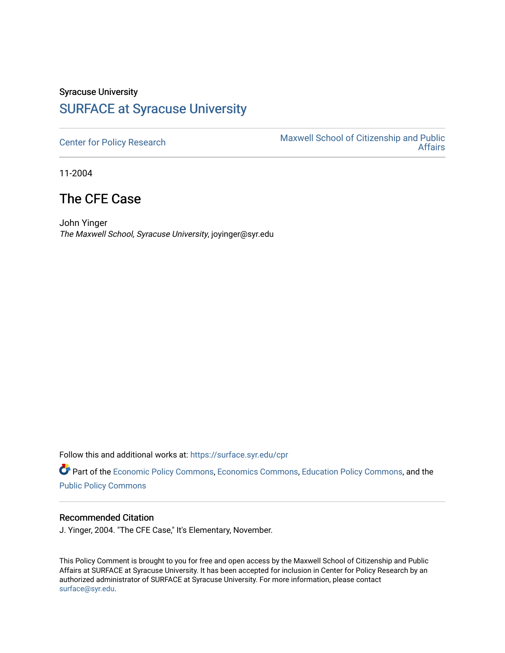## Syracuse University [SURFACE at Syracuse University](https://surface.syr.edu/)

[Center for Policy Research](https://surface.syr.edu/cpr) Maxwell School of Citizenship and Public [Affairs](https://surface.syr.edu/maxwell) 

11-2004

## The CFE Case

John Yinger The Maxwell School, Syracuse University, joyinger@syr.edu

Follow this and additional works at: [https://surface.syr.edu/cpr](https://surface.syr.edu/cpr?utm_source=surface.syr.edu%2Fcpr%2F367&utm_medium=PDF&utm_campaign=PDFCoverPages) 

Part of the [Economic Policy Commons](http://network.bepress.com/hgg/discipline/1025?utm_source=surface.syr.edu%2Fcpr%2F367&utm_medium=PDF&utm_campaign=PDFCoverPages), [Economics Commons,](http://network.bepress.com/hgg/discipline/340?utm_source=surface.syr.edu%2Fcpr%2F367&utm_medium=PDF&utm_campaign=PDFCoverPages) [Education Policy Commons](http://network.bepress.com/hgg/discipline/1026?utm_source=surface.syr.edu%2Fcpr%2F367&utm_medium=PDF&utm_campaign=PDFCoverPages), and the [Public Policy Commons](http://network.bepress.com/hgg/discipline/400?utm_source=surface.syr.edu%2Fcpr%2F367&utm_medium=PDF&utm_campaign=PDFCoverPages)

## Recommended Citation

J. Yinger, 2004. "The CFE Case," It's Elementary, November.

This Policy Comment is brought to you for free and open access by the Maxwell School of Citizenship and Public Affairs at SURFACE at Syracuse University. It has been accepted for inclusion in Center for Policy Research by an authorized administrator of SURFACE at Syracuse University. For more information, please contact [surface@syr.edu.](mailto:surface@syr.edu)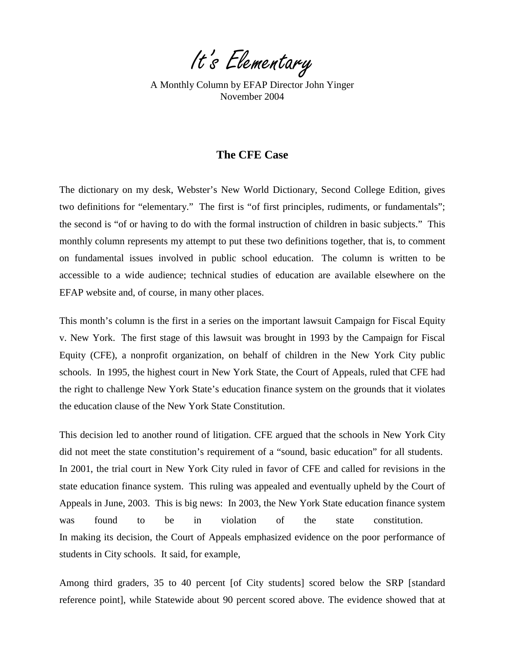It's Elementary

A Monthly Column by EFAP Director John Yinger November 2004

## **The CFE Case**

The dictionary on my desk, Webster's New World Dictionary, Second College Edition, gives two definitions for "elementary." The first is "of first principles, rudiments, or fundamentals"; the second is "of or having to do with the formal instruction of children in basic subjects." This monthly column represents my attempt to put these two definitions together, that is, to comment on fundamental issues involved in public school education. The column is written to be accessible to a wide audience; technical studies of education are available elsewhere on the EFAP website and, of course, in many other places.

This month's column is the first in a series on the important lawsuit Campaign for Fiscal Equity v. New York. The first stage of this lawsuit was brought in 1993 by the Campaign for Fiscal Equity (CFE), a nonprofit organization, on behalf of children in the New York City public schools. In 1995, the highest court in New York State, the Court of Appeals, ruled that CFE had the right to challenge New York State's education finance system on the grounds that it violates the education clause of the New York State Constitution.

This decision led to another round of litigation. CFE argued that the schools in New York City did not meet the state constitution's requirement of a "sound, basic education" for all students. In 2001, the trial court in New York City ruled in favor of CFE and called for revisions in the state education finance system. This ruling was appealed and eventually upheld by the Court of Appeals in June, 2003. This is big news: In 2003, the New York State education finance system was found to be in violation of the state constitution. In making its decision, the Court of Appeals emphasized evidence on the poor performance of students in City schools. It said, for example,

Among third graders, 35 to 40 percent [of City students] scored below the SRP [standard reference point], while Statewide about 90 percent scored above. The evidence showed that at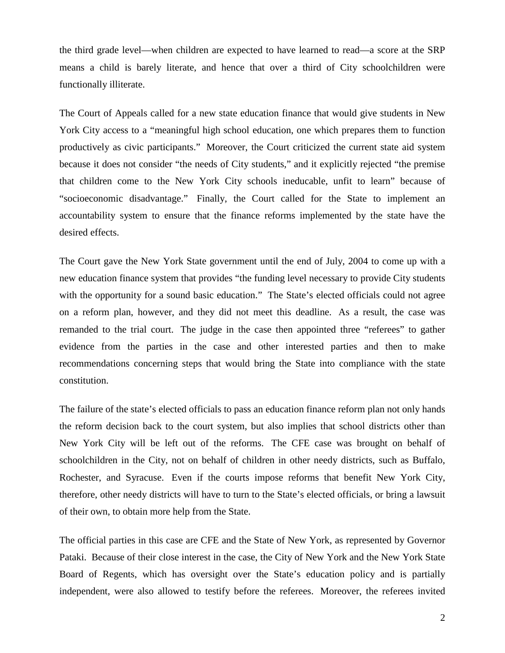the third grade level—when children are expected to have learned to read—a score at the SRP means a child is barely literate, and hence that over a third of City schoolchildren were functionally illiterate.

The Court of Appeals called for a new state education finance that would give students in New York City access to a "meaningful high school education, one which prepares them to function productively as civic participants." Moreover, the Court criticized the current state aid system because it does not consider "the needs of City students," and it explicitly rejected "the premise that children come to the New York City schools ineducable, unfit to learn" because of "socioeconomic disadvantage." Finally, the Court called for the State to implement an accountability system to ensure that the finance reforms implemented by the state have the desired effects.

The Court gave the New York State government until the end of July, 2004 to come up with a new education finance system that provides "the funding level necessary to provide City students with the opportunity for a sound basic education." The State's elected officials could not agree on a reform plan, however, and they did not meet this deadline. As a result, the case was remanded to the trial court. The judge in the case then appointed three "referees" to gather evidence from the parties in the case and other interested parties and then to make recommendations concerning steps that would bring the State into compliance with the state constitution.

The failure of the state's elected officials to pass an education finance reform plan not only hands the reform decision back to the court system, but also implies that school districts other than New York City will be left out of the reforms. The CFE case was brought on behalf of schoolchildren in the City, not on behalf of children in other needy districts, such as Buffalo, Rochester, and Syracuse. Even if the courts impose reforms that benefit New York City, therefore, other needy districts will have to turn to the State's elected officials, or bring a lawsuit of their own, to obtain more help from the State.

The official parties in this case are CFE and the State of New York, as represented by Governor Pataki. Because of their close interest in the case, the City of New York and the New York State Board of Regents, which has oversight over the State's education policy and is partially independent, were also allowed to testify before the referees. Moreover, the referees invited